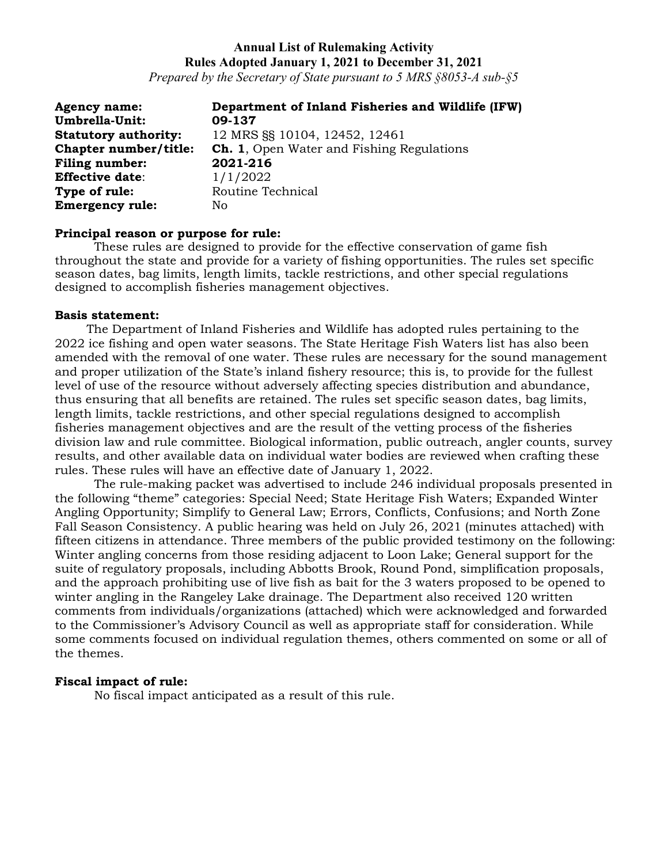*Prepared by the Secretary of State pursuant to 5 MRS §8053-A sub-§5*

| <b>Agency name:</b>         | Department of Inland Fisheries and Wildlife (IFW) |
|-----------------------------|---------------------------------------------------|
| Umbrella-Unit:              | 09-137                                            |
| <b>Statutory authority:</b> | 12 MRS SS 10104, 12452, 12461                     |
| Chapter number/title:       | <b>Ch. 1, Open Water and Fishing Regulations</b>  |
| Filing number:              | 2021-216                                          |
| <b>Effective date:</b>      | 1/1/2022                                          |
| Type of rule:               | Routine Technical                                 |
| <b>Emergency rule:</b>      | No                                                |

#### **Principal reason or purpose for rule:**

These rules are designed to provide for the effective conservation of game fish throughout the state and provide for a variety of fishing opportunities. The rules set specific season dates, bag limits, length limits, tackle restrictions, and other special regulations designed to accomplish fisheries management objectives.

## **Basis statement:**

The Department of Inland Fisheries and Wildlife has adopted rules pertaining to the 2022 ice fishing and open water seasons. The State Heritage Fish Waters list has also been amended with the removal of one water. These rules are necessary for the sound management and proper utilization of the State's inland fishery resource; this is, to provide for the fullest level of use of the resource without adversely affecting species distribution and abundance, thus ensuring that all benefits are retained. The rules set specific season dates, bag limits, length limits, tackle restrictions, and other special regulations designed to accomplish fisheries management objectives and are the result of the vetting process of the fisheries division law and rule committee. Biological information, public outreach, angler counts, survey results, and other available data on individual water bodies are reviewed when crafting these rules. These rules will have an effective date of January 1, 2022.

The rule-making packet was advertised to include 246 individual proposals presented in the following "theme" categories: Special Need; State Heritage Fish Waters; Expanded Winter Angling Opportunity; Simplify to General Law; Errors, Conflicts, Confusions; and North Zone Fall Season Consistency. A public hearing was held on July 26, 2021 (minutes attached) with fifteen citizens in attendance. Three members of the public provided testimony on the following: Winter angling concerns from those residing adjacent to Loon Lake; General support for the suite of regulatory proposals, including Abbotts Brook, Round Pond, simplification proposals, and the approach prohibiting use of live fish as bait for the 3 waters proposed to be opened to winter angling in the Rangeley Lake drainage. The Department also received 120 written comments from individuals/organizations (attached) which were acknowledged and forwarded to the Commissioner's Advisory Council as well as appropriate staff for consideration. While some comments focused on individual regulation themes, others commented on some or all of the themes.

## **Fiscal impact of rule:**

No fiscal impact anticipated as a result of this rule.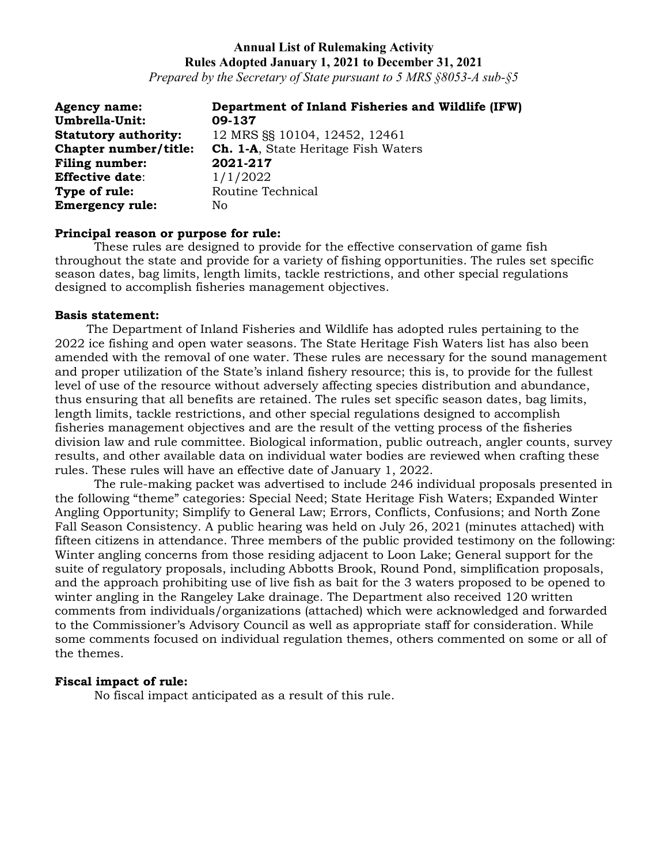*Prepared by the Secretary of State pursuant to 5 MRS §8053-A sub-§5*

| <b>Agency name:</b>         | Department of Inland Fisheries and Wildlife (IFW) |
|-----------------------------|---------------------------------------------------|
| Umbrella-Unit:              | 09-137                                            |
| <b>Statutory authority:</b> | 12 MRS SS 10104, 12452, 12461                     |
| Chapter number/title:       | <b>Ch. 1-A, State Heritage Fish Waters</b>        |
| Filing number:              | 2021-217                                          |
| <b>Effective date:</b>      | 1/1/2022                                          |
| Type of rule:               | Routine Technical                                 |
| <b>Emergency rule:</b>      | No                                                |

#### **Principal reason or purpose for rule:**

These rules are designed to provide for the effective conservation of game fish throughout the state and provide for a variety of fishing opportunities. The rules set specific season dates, bag limits, length limits, tackle restrictions, and other special regulations designed to accomplish fisheries management objectives.

#### **Basis statement:**

The Department of Inland Fisheries and Wildlife has adopted rules pertaining to the 2022 ice fishing and open water seasons. The State Heritage Fish Waters list has also been amended with the removal of one water. These rules are necessary for the sound management and proper utilization of the State's inland fishery resource; this is, to provide for the fullest level of use of the resource without adversely affecting species distribution and abundance, thus ensuring that all benefits are retained. The rules set specific season dates, bag limits, length limits, tackle restrictions, and other special regulations designed to accomplish fisheries management objectives and are the result of the vetting process of the fisheries division law and rule committee. Biological information, public outreach, angler counts, survey results, and other available data on individual water bodies are reviewed when crafting these rules. These rules will have an effective date of January 1, 2022.

The rule-making packet was advertised to include 246 individual proposals presented in the following "theme" categories: Special Need; State Heritage Fish Waters; Expanded Winter Angling Opportunity; Simplify to General Law; Errors, Conflicts, Confusions; and North Zone Fall Season Consistency. A public hearing was held on July 26, 2021 (minutes attached) with fifteen citizens in attendance. Three members of the public provided testimony on the following: Winter angling concerns from those residing adjacent to Loon Lake; General support for the suite of regulatory proposals, including Abbotts Brook, Round Pond, simplification proposals, and the approach prohibiting use of live fish as bait for the 3 waters proposed to be opened to winter angling in the Rangeley Lake drainage. The Department also received 120 written comments from individuals/organizations (attached) which were acknowledged and forwarded to the Commissioner's Advisory Council as well as appropriate staff for consideration. While some comments focused on individual regulation themes, others commented on some or all of the themes.

## **Fiscal impact of rule:**

No fiscal impact anticipated as a result of this rule.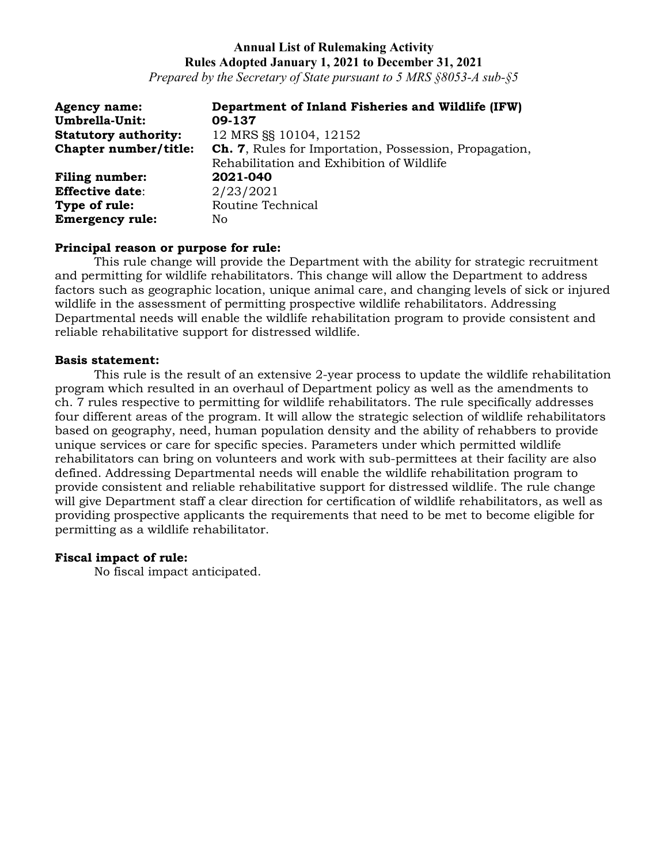*Prepared by the Secretary of State pursuant to 5 MRS §8053-A sub-§5*

| <b>Agency name:</b>         | Department of Inland Fisheries and Wildlife (IFW)             |
|-----------------------------|---------------------------------------------------------------|
| Umbrella-Unit:              | 09-137                                                        |
| <b>Statutory authority:</b> | 12 MRS SS 10104, 12152                                        |
| Chapter number/title:       | <b>Ch. 7, Rules for Importation, Possession, Propagation,</b> |
|                             | Rehabilitation and Exhibition of Wildlife                     |
| <b>Filing number:</b>       | 2021-040                                                      |
| <b>Effective date:</b>      | 2/23/2021                                                     |
| Type of rule:               | Routine Technical                                             |
| <b>Emergency rule:</b>      | No.                                                           |

## **Principal reason or purpose for rule:**

This rule change will provide the Department with the ability for strategic recruitment and permitting for wildlife rehabilitators. This change will allow the Department to address factors such as geographic location, unique animal care, and changing levels of sick or injured wildlife in the assessment of permitting prospective wildlife rehabilitators. Addressing Departmental needs will enable the wildlife rehabilitation program to provide consistent and reliable rehabilitative support for distressed wildlife.

## **Basis statement:**

This rule is the result of an extensive 2-year process to update the wildlife rehabilitation program which resulted in an overhaul of Department policy as well as the amendments to ch. 7 rules respective to permitting for wildlife rehabilitators. The rule specifically addresses four different areas of the program. It will allow the strategic selection of wildlife rehabilitators based on geography, need, human population density and the ability of rehabbers to provide unique services or care for specific species. Parameters under which permitted wildlife rehabilitators can bring on volunteers and work with sub-permittees at their facility are also defined. Addressing Departmental needs will enable the wildlife rehabilitation program to provide consistent and reliable rehabilitative support for distressed wildlife. The rule change will give Department staff a clear direction for certification of wildlife rehabilitators, as well as providing prospective applicants the requirements that need to be met to become eligible for permitting as a wildlife rehabilitator.

## **Fiscal impact of rule:**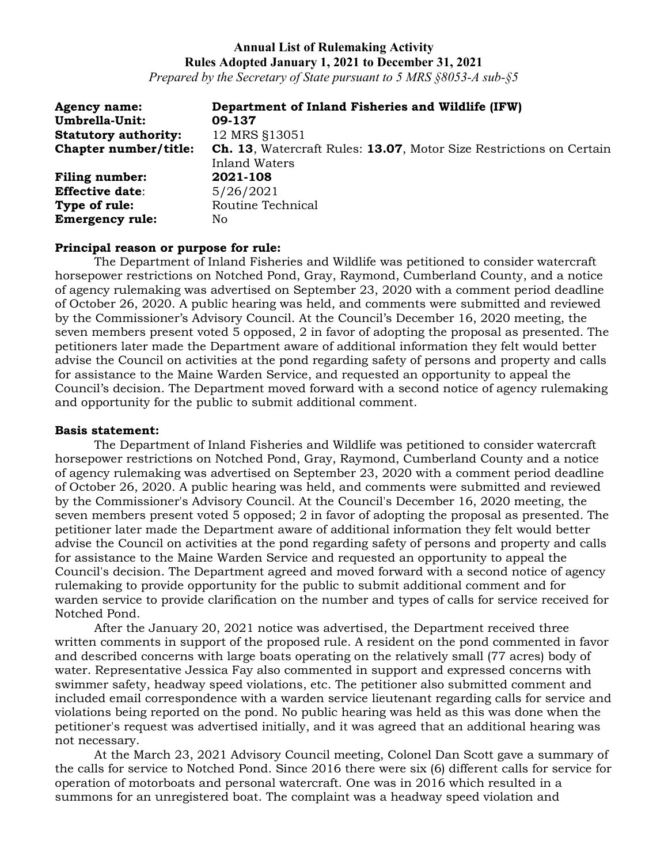*Prepared by the Secretary of State pursuant to 5 MRS §8053-A sub-§5*

| <b>Agency name:</b>         | Department of Inland Fisheries and Wildlife (IFW)                          |
|-----------------------------|----------------------------------------------------------------------------|
| Umbrella-Unit:              | 09-137                                                                     |
| <b>Statutory authority:</b> | 12 MRS §13051                                                              |
| Chapter number/title:       | <b>Ch. 13, Watercraft Rules: 13.07, Motor Size Restrictions on Certain</b> |
|                             | <b>Inland Waters</b>                                                       |
| <b>Filing number:</b>       | 2021-108                                                                   |
| <b>Effective date:</b>      | 5/26/2021                                                                  |
| Type of rule:               | Routine Technical                                                          |
| <b>Emergency rule:</b>      | No.                                                                        |

#### **Principal reason or purpose for rule:**

The Department of Inland Fisheries and Wildlife was petitioned to consider watercraft horsepower restrictions on Notched Pond, Gray, Raymond, Cumberland County, and a notice of agency rulemaking was advertised on September 23, 2020 with a comment period deadline of October 26, 2020. A public hearing was held, and comments were submitted and reviewed by the Commissioner's Advisory Council. At the Council's December 16, 2020 meeting, the seven members present voted 5 opposed, 2 in favor of adopting the proposal as presented. The petitioners later made the Department aware of additional information they felt would better advise the Council on activities at the pond regarding safety of persons and property and calls for assistance to the Maine Warden Service, and requested an opportunity to appeal the Council's decision. The Department moved forward with a second notice of agency rulemaking and opportunity for the public to submit additional comment.

#### **Basis statement:**

The Department of Inland Fisheries and Wildlife was petitioned to consider watercraft horsepower restrictions on Notched Pond, Gray, Raymond, Cumberland County and a notice of agency rulemaking was advertised on September 23, 2020 with a comment period deadline of October 26, 2020. A public hearing was held, and comments were submitted and reviewed by the Commissioner's Advisory Council. At the Council's December 16, 2020 meeting, the seven members present voted 5 opposed; 2 in favor of adopting the proposal as presented. The petitioner later made the Department aware of additional information they felt would better advise the Council on activities at the pond regarding safety of persons and property and calls for assistance to the Maine Warden Service and requested an opportunity to appeal the Council's decision. The Department agreed and moved forward with a second notice of agency rulemaking to provide opportunity for the public to submit additional comment and for warden service to provide clarification on the number and types of calls for service received for Notched Pond.

After the January 20, 2021 notice was advertised, the Department received three written comments in support of the proposed rule. A resident on the pond commented in favor and described concerns with large boats operating on the relatively small (77 acres) body of water. Representative Jessica Fay also commented in support and expressed concerns with swimmer safety, headway speed violations, etc. The petitioner also submitted comment and included email correspondence with a warden service lieutenant regarding calls for service and violations being reported on the pond. No public hearing was held as this was done when the petitioner's request was advertised initially, and it was agreed that an additional hearing was not necessary.

At the March 23, 2021 Advisory Council meeting, Colonel Dan Scott gave a summary of the calls for service to Notched Pond. Since 2016 there were six (6) different calls for service for operation of motorboats and personal watercraft. One was in 2016 which resulted in a summons for an unregistered boat. The complaint was a headway speed violation and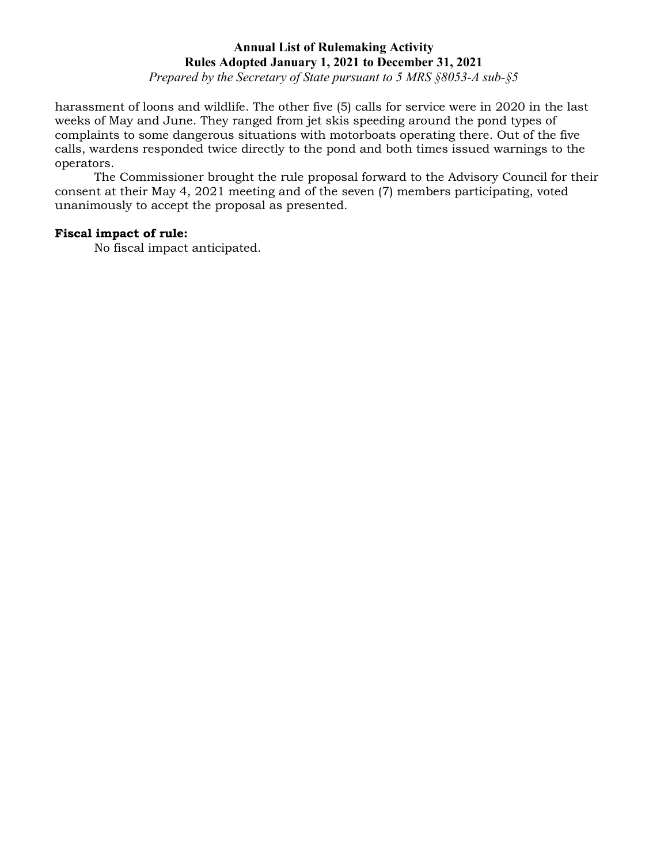*Prepared by the Secretary of State pursuant to 5 MRS §8053-A sub-§5*

harassment of loons and wildlife. The other five (5) calls for service were in 2020 in the last weeks of May and June. They ranged from jet skis speeding around the pond types of complaints to some dangerous situations with motorboats operating there. Out of the five calls, wardens responded twice directly to the pond and both times issued warnings to the operators.

The Commissioner brought the rule proposal forward to the Advisory Council for their consent at their May 4, 2021 meeting and of the seven (7) members participating, voted unanimously to accept the proposal as presented.

## **Fiscal impact of rule:**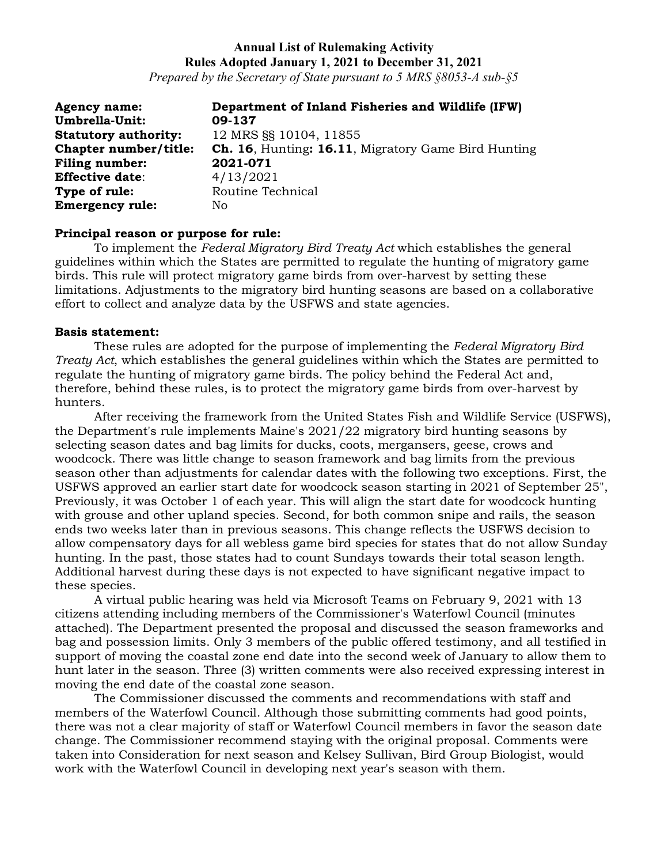*Prepared by the Secretary of State pursuant to 5 MRS §8053-A sub-§5*

| <b>Agency name:</b>         | Department of Inland Fisheries and Wildlife (IFW)          |
|-----------------------------|------------------------------------------------------------|
| Umbrella-Unit:              | 09-137                                                     |
| <b>Statutory authority:</b> | 12 MRS SS 10104, 11855                                     |
| Chapter number/title:       | <b>Ch. 16, Hunting: 16.11, Migratory Game Bird Hunting</b> |
| Filing number:              | 2021-071                                                   |
| <b>Effective date:</b>      | 4/13/2021                                                  |
| Type of rule:               | Routine Technical                                          |
| <b>Emergency rule:</b>      | No.                                                        |

#### **Principal reason or purpose for rule:**

To implement the *Federal Migratory Bird Treaty Act* which establishes the general guidelines within which the States are permitted to regulate the hunting of migratory game birds. This rule will protect migratory game birds from over-harvest by setting these limitations. Adjustments to the migratory bird hunting seasons are based on a collaborative effort to collect and analyze data by the USFWS and state agencies.

#### **Basis statement:**

These rules are adopted for the purpose of implementing the *Federal Migratory Bird Treaty Act*, which establishes the general guidelines within which the States are permitted to regulate the hunting of migratory game birds. The policy behind the Federal Act and, therefore, behind these rules, is to protect the migratory game birds from over-harvest by hunters.

After receiving the framework from the United States Fish and Wildlife Service (USFWS), the Department's rule implements Maine's 2021/22 migratory bird hunting seasons by selecting season dates and bag limits for ducks, coots, mergansers, geese, crows and woodcock. There was little change to season framework and bag limits from the previous season other than adjustments for calendar dates with the following two exceptions. First, the USFWS approved an earlier start date for woodcock season starting in 2021 of September 25", Previously, it was October 1 of each year. This will align the start date for woodcock hunting with grouse and other upland species. Second, for both common snipe and rails, the season ends two weeks later than in previous seasons. This change reflects the USFWS decision to allow compensatory days for all webless game bird species for states that do not allow Sunday hunting. In the past, those states had to count Sundays towards their total season length. Additional harvest during these days is not expected to have significant negative impact to these species.

A virtual public hearing was held via Microsoft Teams on February 9, 2021 with 13 citizens attending including members of the Commissioner's Waterfowl Council (minutes attached). The Department presented the proposal and discussed the season frameworks and bag and possession limits. Only 3 members of the public offered testimony, and all testified in support of moving the coastal zone end date into the second week of January to allow them to hunt later in the season. Three (3) written comments were also received expressing interest in moving the end date of the coastal zone season.

The Commissioner discussed the comments and recommendations with staff and members of the Waterfowl Council. Although those submitting comments had good points, there was not a clear majority of staff or Waterfowl Council members in favor the season date change. The Commissioner recommend staying with the original proposal. Comments were taken into Consideration for next season and Kelsey Sullivan, Bird Group Biologist, would work with the Waterfowl Council in developing next year's season with them.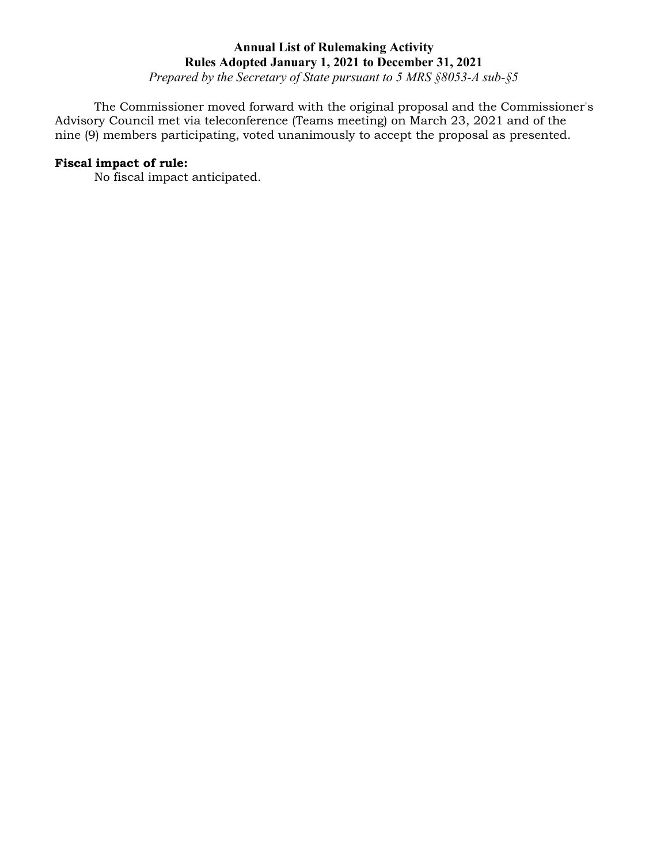*Prepared by the Secretary of State pursuant to 5 MRS §8053-A sub-§5*

The Commissioner moved forward with the original proposal and the Commissioner's Advisory Council met via teleconference (Teams meeting) on March 23, 2021 and of the nine (9) members participating, voted unanimously to accept the proposal as presented.

## **Fiscal impact of rule:**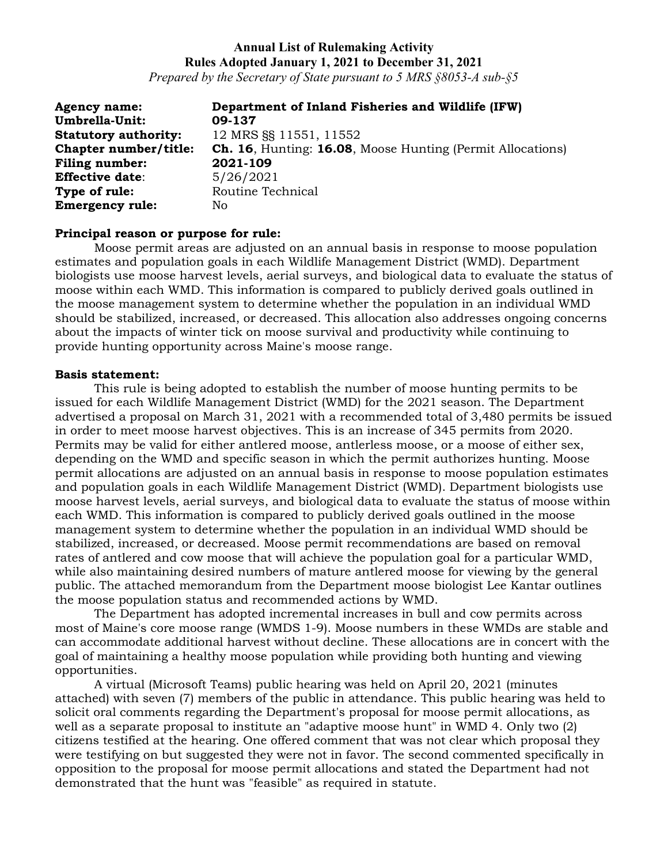*Prepared by the Secretary of State pursuant to 5 MRS §8053-A sub-§5*

| <b>Agency name:</b>         | Department of Inland Fisheries and Wildlife (IFW)                 |
|-----------------------------|-------------------------------------------------------------------|
| <b>Umbrella-Unit:</b>       | 09-137                                                            |
| <b>Statutory authority:</b> | 12 MRS §§ 11551, 11552                                            |
| Chapter number/title:       | <b>Ch. 16, Hunting: 16.08, Moose Hunting (Permit Allocations)</b> |
| <b>Filing number:</b>       | 2021-109                                                          |
| <b>Effective date:</b>      | 5/26/2021                                                         |
| Type of rule:               | Routine Technical                                                 |
| <b>Emergency rule:</b>      | No                                                                |

## **Principal reason or purpose for rule:**

Moose permit areas are adjusted on an annual basis in response to moose population estimates and population goals in each Wildlife Management District (WMD). Department biologists use moose harvest levels, aerial surveys, and biological data to evaluate the status of moose within each WMD. This information is compared to publicly derived goals outlined in the moose management system to determine whether the population in an individual WMD should be stabilized, increased, or decreased. This allocation also addresses ongoing concerns about the impacts of winter tick on moose survival and productivity while continuing to provide hunting opportunity across Maine's moose range.

#### **Basis statement:**

This rule is being adopted to establish the number of moose hunting permits to be issued for each Wildlife Management District (WMD) for the 2021 season. The Department advertised a proposal on March 31, 2021 with a recommended total of 3,480 permits be issued in order to meet moose harvest objectives. This is an increase of 345 permits from 2020. Permits may be valid for either antlered moose, antlerless moose, or a moose of either sex, depending on the WMD and specific season in which the permit authorizes hunting. Moose permit allocations are adjusted on an annual basis in response to moose population estimates and population goals in each Wildlife Management District (WMD). Department biologists use moose harvest levels, aerial surveys, and biological data to evaluate the status of moose within each WMD. This information is compared to publicly derived goals outlined in the moose management system to determine whether the population in an individual WMD should be stabilized, increased, or decreased. Moose permit recommendations are based on removal rates of antlered and cow moose that will achieve the population goal for a particular WMD, while also maintaining desired numbers of mature antlered moose for viewing by the general public. The attached memorandum from the Department moose biologist Lee Kantar outlines the moose population status and recommended actions by WMD.

The Department has adopted incremental increases in bull and cow permits across most of Maine's core moose range (WMDS 1-9). Moose numbers in these WMDs are stable and can accommodate additional harvest without decline. These allocations are in concert with the goal of maintaining a healthy moose population while providing both hunting and viewing opportunities.

A virtual (Microsoft Teams) public hearing was held on April 20, 2021 (minutes attached) with seven (7) members of the public in attendance. This public hearing was held to solicit oral comments regarding the Department's proposal for moose permit allocations, as well as a separate proposal to institute an "adaptive moose hunt" in WMD 4. Only two (2) citizens testified at the hearing. One offered comment that was not clear which proposal they were testifying on but suggested they were not in favor. The second commented specifically in opposition to the proposal for moose permit allocations and stated the Department had not demonstrated that the hunt was "feasible" as required in statute.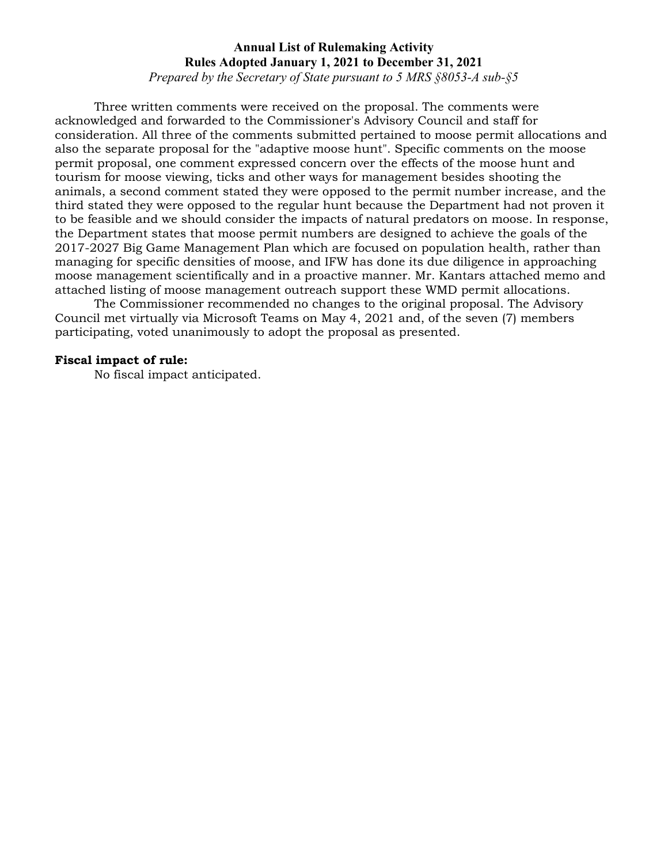*Prepared by the Secretary of State pursuant to 5 MRS §8053-A sub-§5*

Three written comments were received on the proposal. The comments were acknowledged and forwarded to the Commissioner's Advisory Council and staff for consideration. All three of the comments submitted pertained to moose permit allocations and also the separate proposal for the "adaptive moose hunt". Specific comments on the moose permit proposal, one comment expressed concern over the effects of the moose hunt and tourism for moose viewing, ticks and other ways for management besides shooting the animals, a second comment stated they were opposed to the permit number increase, and the third stated they were opposed to the regular hunt because the Department had not proven it to be feasible and we should consider the impacts of natural predators on moose. In response, the Department states that moose permit numbers are designed to achieve the goals of the 2017-2027 Big Game Management Plan which are focused on population health, rather than managing for specific densities of moose, and IFW has done its due diligence in approaching moose management scientifically and in a proactive manner. Mr. Kantars attached memo and attached listing of moose management outreach support these WMD permit allocations.

The Commissioner recommended no changes to the original proposal. The Advisory Council met virtually via Microsoft Teams on May 4, 2021 and, of the seven (7) members participating, voted unanimously to adopt the proposal as presented.

## **Fiscal impact of rule:**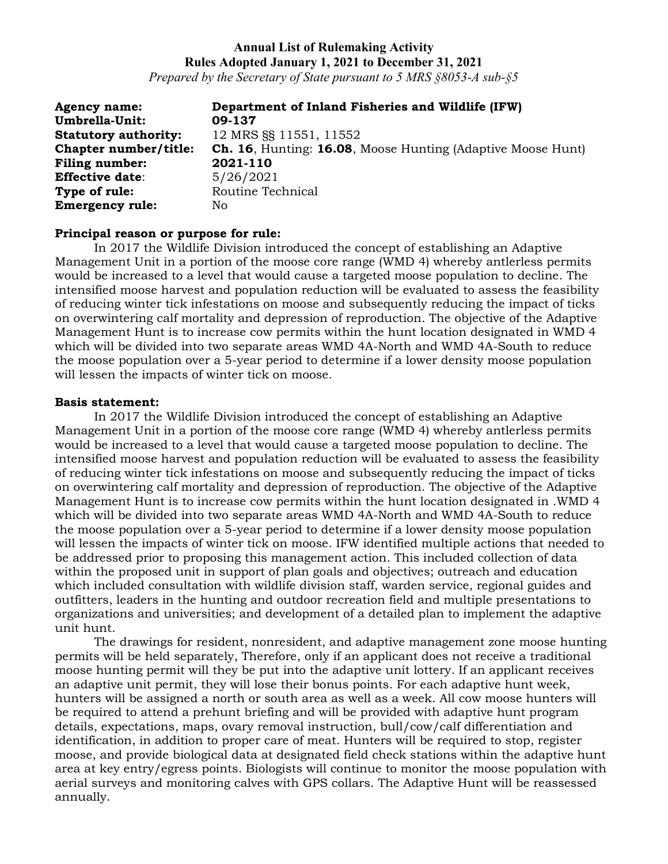*Prepared by the Secretary of State pursuant to 5 MRS §8053-A sub-§5*

**Agency name: Department of Inland Fisheries and Wildlife (IFW) Umbrella-Unit: Statutory authority:** 12 MRS §§ 11551, 11552 **Chapter number/title: Ch. 16**, Hunting: **16.08**, Moose Hunting (Adaptive Moose Hunt) **Filing number: 2021-110 Effective date**: 5/26/2021 **Type of rule:** Routine Technical **Emergency rule:** No

## **Principal reason or purpose for rule:**

In 2017 the Wildlife Division introduced the concept of establishing an Adaptive Management Unit in a portion of the moose core range (WMD 4) whereby antlerless permits would be increased to a level that would cause a targeted moose population to decline. The intensified moose harvest and population reduction will be evaluated to assess the feasibility of reducing winter tick infestations on moose and subsequently reducing the impact of ticks on overwintering calf mortality and depression of reproduction. The objective of the Adaptive Management Hunt is to increase cow permits within the hunt location designated in WMD 4 which will be divided into two separate areas WMD 4A-North and WMD 4A-South to reduce the moose population over a 5-year period to determine if a lower density moose population will lessen the impacts of winter tick on moose.

#### **Basis statement:**

In 2017 the Wildlife Division introduced the concept of establishing an Adaptive Management Unit in a portion of the moose core range (WMD 4) whereby antlerless permits would be increased to a level that would cause a targeted moose population to decline. The intensified moose harvest and population reduction will be evaluated to assess the feasibility of reducing winter tick infestations on moose and subsequently reducing the impact of ticks on overwintering calf mortality and depression of reproduction. The objective of the Adaptive Management Hunt is to increase cow permits within the hunt location designated in .WMD 4 which will be divided into two separate areas WMD 4A-North and WMD 4A-South to reduce the moose population over a 5-year period to determine if a lower density moose population will lessen the impacts of winter tick on moose. IFW identified multiple actions that needed to be addressed prior to proposing this management action. This included collection of data within the proposed unit in support of plan goals and objectives; outreach and education which included consultation with wildlife division staff, warden service, regional guides and outfitters, leaders in the hunting and outdoor recreation field and multiple presentations to organizations and universities; and development of a detailed plan to implement the adaptive unit hunt.

The drawings for resident, nonresident, and adaptive management zone moose hunting permits will be held separately, Therefore, only if an applicant does not receive a traditional moose hunting permit will they be put into the adaptive unit lottery. If an applicant receives an adaptive unit permit, they will lose their bonus points. For each adaptive hunt week, hunters will be assigned a north or south area as well as a week. All cow moose hunters will be required to attend a prehunt briefing and will be provided with adaptive hunt program details, expectations, maps, ovary removal instruction, bull/cow/calf differentiation and identification, in addition to proper care of meat. Hunters will be required to stop, register moose, and provide biological data at designated field check stations within the adaptive hunt area at key entry/egress points. Biologists will continue to monitor the moose population with aerial surveys and monitoring calves with GPS collars. The Adaptive Hunt will be reassessed annually.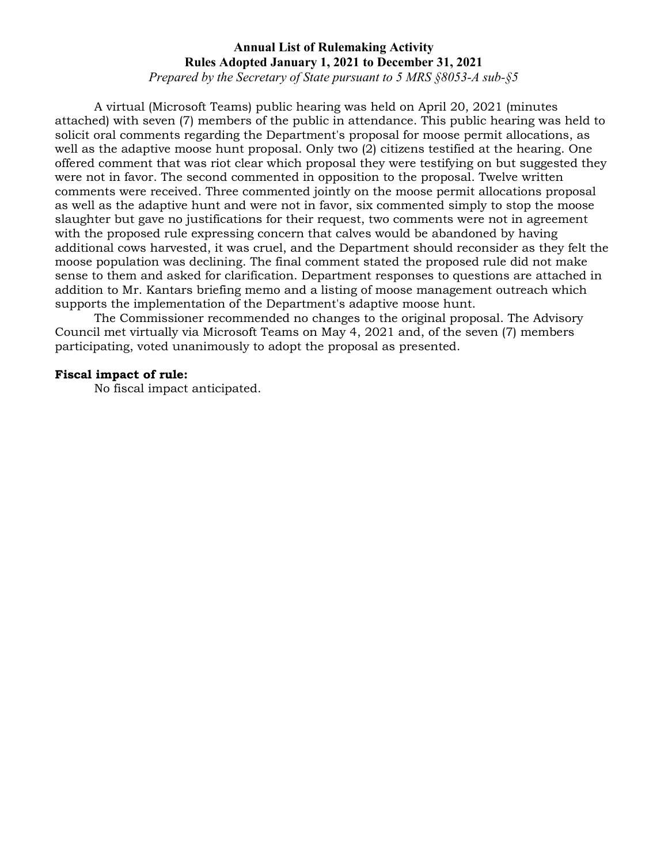*Prepared by the Secretary of State pursuant to 5 MRS §8053-A sub-§5*

A virtual (Microsoft Teams) public hearing was held on April 20, 2021 (minutes attached) with seven (7) members of the public in attendance. This public hearing was held to solicit oral comments regarding the Department's proposal for moose permit allocations, as well as the adaptive moose hunt proposal. Only two (2) citizens testified at the hearing. One offered comment that was riot clear which proposal they were testifying on but suggested they were not in favor. The second commented in opposition to the proposal. Twelve written comments were received. Three commented jointly on the moose permit allocations proposal as well as the adaptive hunt and were not in favor, six commented simply to stop the moose slaughter but gave no justifications for their request, two comments were not in agreement with the proposed rule expressing concern that calves would be abandoned by having additional cows harvested, it was cruel, and the Department should reconsider as they felt the moose population was declining. The final comment stated the proposed rule did not make sense to them and asked for clarification. Department responses to questions are attached in addition to Mr. Kantars briefing memo and a listing of moose management outreach which supports the implementation of the Department's adaptive moose hunt.

The Commissioner recommended no changes to the original proposal. The Advisory Council met virtually via Microsoft Teams on May 4, 2021 and, of the seven (7) members participating, voted unanimously to adopt the proposal as presented.

## **Fiscal impact of rule:**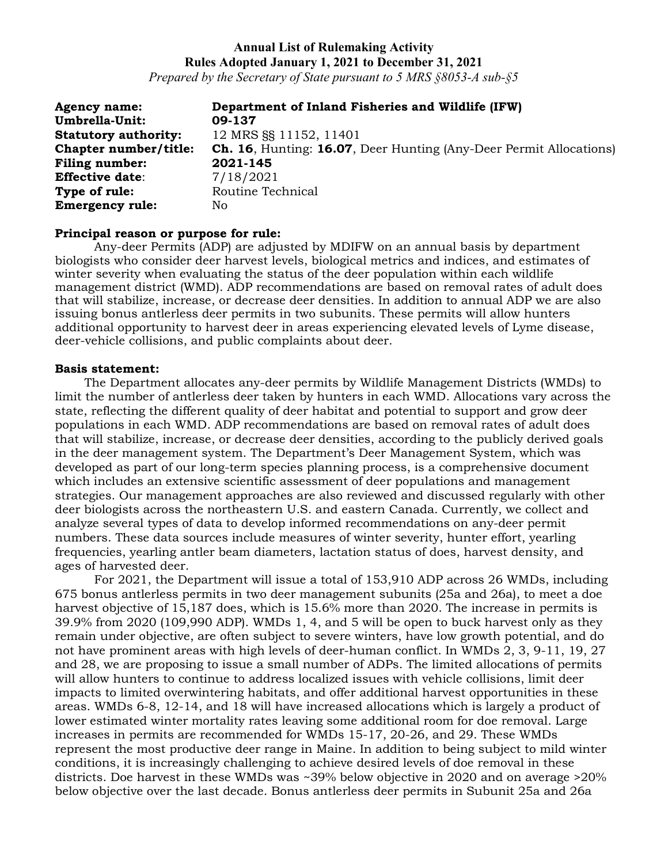*Prepared by the Secretary of State pursuant to 5 MRS §8053-A sub-§5*

| <b>Agency name:</b>          | Department of Inland Fisheries and Wildlife (IFW)                         |
|------------------------------|---------------------------------------------------------------------------|
| Umbrella-Unit:               | 09-137                                                                    |
| <b>Statutory authority:</b>  | 12 MRS SS 11152, 11401                                                    |
| <b>Chapter number/title:</b> | <b>Ch. 16.</b> Hunting: 16.07, Deer Hunting (Any-Deer Permit Allocations) |
| <b>Filing number:</b>        | 2021-145                                                                  |
| <b>Effective date:</b>       | 7/18/2021                                                                 |
| Type of rule:                | Routine Technical                                                         |
| <b>Emergency rule:</b>       | No.                                                                       |

#### **Principal reason or purpose for rule:**

Any-deer Permits (ADP) are adjusted by MDIFW on an annual basis by department biologists who consider deer harvest levels, biological metrics and indices, and estimates of winter severity when evaluating the status of the deer population within each wildlife management district (WMD). ADP recommendations are based on removal rates of adult does that will stabilize, increase, or decrease deer densities. In addition to annual ADP we are also issuing bonus antlerless deer permits in two subunits. These permits will allow hunters additional opportunity to harvest deer in areas experiencing elevated levels of Lyme disease, deer-vehicle collisions, and public complaints about deer.

#### **Basis statement:**

The Department allocates any-deer permits by Wildlife Management Districts (WMDs) to limit the number of antlerless deer taken by hunters in each WMD. Allocations vary across the state, reflecting the different quality of deer habitat and potential to support and grow deer populations in each WMD. ADP recommendations are based on removal rates of adult does that will stabilize, increase, or decrease deer densities, according to the publicly derived goals in the deer management system. The Department's Deer Management System, which was developed as part of our long-term species planning process, is a comprehensive document which includes an extensive scientific assessment of deer populations and management strategies. Our management approaches are also reviewed and discussed regularly with other deer biologists across the northeastern U.S. and eastern Canada. Currently, we collect and analyze several types of data to develop informed recommendations on any-deer permit numbers. These data sources include measures of winter severity, hunter effort, yearling frequencies, yearling antler beam diameters, lactation status of does, harvest density, and ages of harvested deer.

For 2021, the Department will issue a total of 153,910 ADP across 26 WMDs, including 675 bonus antlerless permits in two deer management subunits (25a and 26a), to meet a doe harvest objective of 15,187 does, which is 15.6% more than 2020. The increase in permits is 39.9% from 2020 (109,990 ADP). WMDs 1, 4, and 5 will be open to buck harvest only as they remain under objective, are often subject to severe winters, have low growth potential, and do not have prominent areas with high levels of deer-human conflict. In WMDs 2, 3, 9-11, 19, 27 and 28, we are proposing to issue a small number of ADPs. The limited allocations of permits will allow hunters to continue to address localized issues with vehicle collisions, limit deer impacts to limited overwintering habitats, and offer additional harvest opportunities in these areas. WMDs 6-8, 12-14, and 18 will have increased allocations which is largely a product of lower estimated winter mortality rates leaving some additional room for doe removal. Large increases in permits are recommended for WMDs 15-17, 20-26, and 29. These WMDs represent the most productive deer range in Maine. In addition to being subject to mild winter conditions, it is increasingly challenging to achieve desired levels of doe removal in these districts. Doe harvest in these WMDs was ~39% below objective in 2020 and on average >20% below objective over the last decade. Bonus antlerless deer permits in Subunit 25a and 26a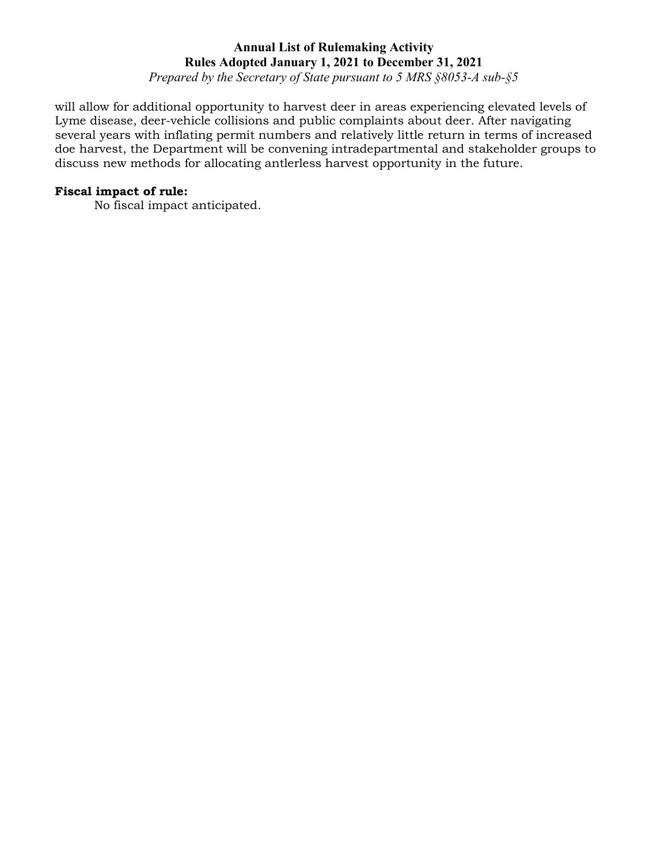*Prepared by the Secretary of State pursuant to 5 MRS §8053-A sub-§5*

will allow for additional opportunity to harvest deer in areas experiencing elevated levels of Lyme disease, deer-vehicle collisions and public complaints about deer. After navigating several years with inflating permit numbers and relatively little return in terms of increased doe harvest, the Department will be convening intradepartmental and stakeholder groups to discuss new methods for allocating antlerless harvest opportunity in the future.

## **Fiscal impact of rule:**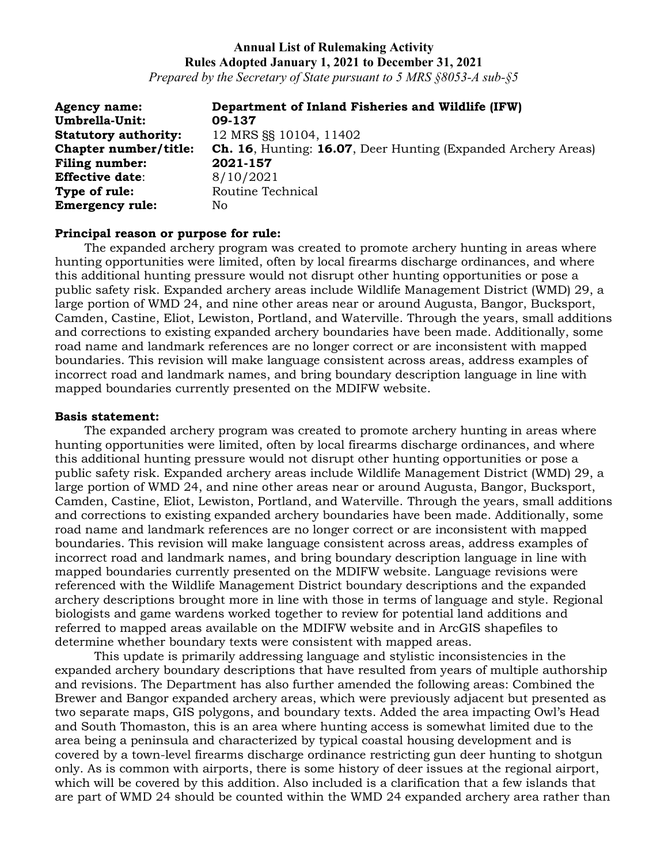*Prepared by the Secretary of State pursuant to 5 MRS §8053-A sub-§5*

| <b>Agency name:</b>         | Department of Inland Fisheries and Wildlife (IFW)                    |
|-----------------------------|----------------------------------------------------------------------|
| Umbrella-Unit:              | 09-137                                                               |
| <b>Statutory authority:</b> | 12 MRS SS 10104, 11402                                               |
| Chapter number/title:       | <b>Ch. 16, Hunting: 16.07, Deer Hunting (Expanded Archery Areas)</b> |
| <b>Filing number:</b>       | 2021-157                                                             |
| <b>Effective date:</b>      | 8/10/2021                                                            |
| Type of rule:               | Routine Technical                                                    |
| <b>Emergency rule:</b>      | No                                                                   |

#### **Principal reason or purpose for rule:**

The expanded archery program was created to promote archery hunting in areas where hunting opportunities were limited, often by local firearms discharge ordinances, and where this additional hunting pressure would not disrupt other hunting opportunities or pose a public safety risk. Expanded archery areas include Wildlife Management District (WMD) 29, a large portion of WMD 24, and nine other areas near or around Augusta, Bangor, Bucksport, Camden, Castine, Eliot, Lewiston, Portland, and Waterville. Through the years, small additions and corrections to existing expanded archery boundaries have been made. Additionally, some road name and landmark references are no longer correct or are inconsistent with mapped boundaries. This revision will make language consistent across areas, address examples of incorrect road and landmark names, and bring boundary description language in line with mapped boundaries currently presented on the MDIFW website.

#### **Basis statement:**

The expanded archery program was created to promote archery hunting in areas where hunting opportunities were limited, often by local firearms discharge ordinances, and where this additional hunting pressure would not disrupt other hunting opportunities or pose a public safety risk. Expanded archery areas include Wildlife Management District (WMD) 29, a large portion of WMD 24, and nine other areas near or around Augusta, Bangor, Bucksport, Camden, Castine, Eliot, Lewiston, Portland, and Waterville. Through the years, small additions and corrections to existing expanded archery boundaries have been made. Additionally, some road name and landmark references are no longer correct or are inconsistent with mapped boundaries. This revision will make language consistent across areas, address examples of incorrect road and landmark names, and bring boundary description language in line with mapped boundaries currently presented on the MDIFW website. Language revisions were referenced with the Wildlife Management District boundary descriptions and the expanded archery descriptions brought more in line with those in terms of language and style. Regional biologists and game wardens worked together to review for potential land additions and referred to mapped areas available on the MDIFW website and in ArcGIS shapefiles to determine whether boundary texts were consistent with mapped areas.

This update is primarily addressing language and stylistic inconsistencies in the expanded archery boundary descriptions that have resulted from years of multiple authorship and revisions. The Department has also further amended the following areas: Combined the Brewer and Bangor expanded archery areas, which were previously adjacent but presented as two separate maps, GIS polygons, and boundary texts. Added the area impacting Owl's Head and South Thomaston, this is an area where hunting access is somewhat limited due to the area being a peninsula and characterized by typical coastal housing development and is covered by a town-level firearms discharge ordinance restricting gun deer hunting to shotgun only. As is common with airports, there is some history of deer issues at the regional airport, which will be covered by this addition. Also included is a clarification that a few islands that are part of WMD 24 should be counted within the WMD 24 expanded archery area rather than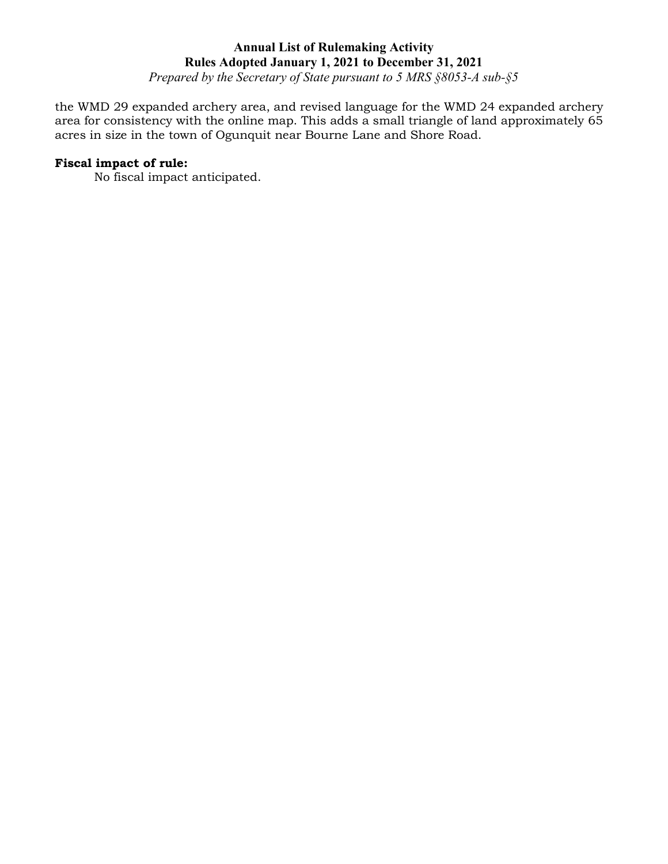*Prepared by the Secretary of State pursuant to 5 MRS §8053-A sub-§5*

the WMD 29 expanded archery area, and revised language for the WMD 24 expanded archery area for consistency with the online map. This adds a small triangle of land approximately 65 acres in size in the town of Ogunquit near Bourne Lane and Shore Road.

## **Fiscal impact of rule:**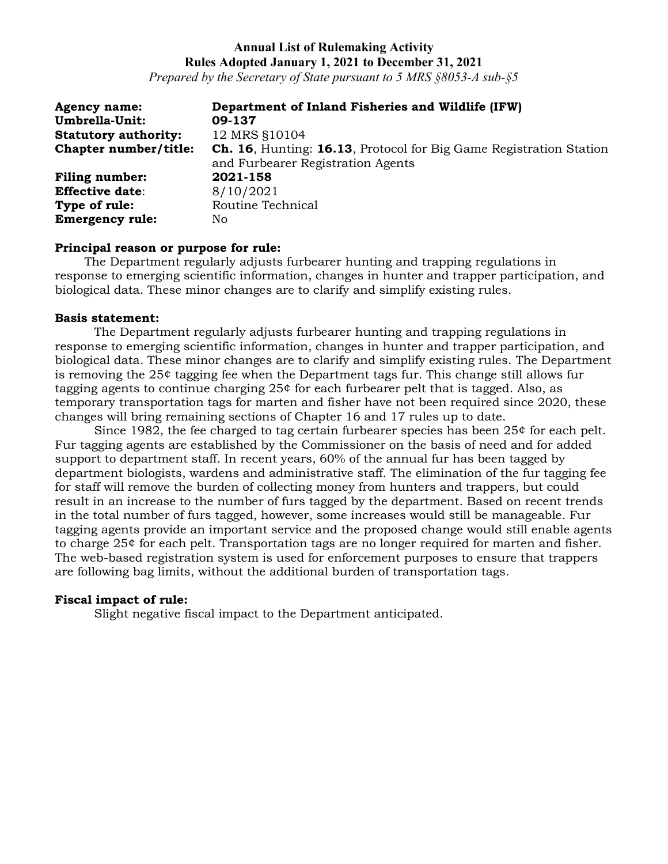*Prepared by the Secretary of State pursuant to 5 MRS §8053-A sub-§5*

| <b>Agency name:</b>         | Department of Inland Fisheries and Wildlife (IFW)                         |
|-----------------------------|---------------------------------------------------------------------------|
| Umbrella-Unit:              | 09-137                                                                    |
| <b>Statutory authority:</b> | 12 MRS §10104                                                             |
| Chapter number/title:       | <b>Ch. 16, Hunting: 16.13, Protocol for Big Game Registration Station</b> |
|                             | and Furbearer Registration Agents                                         |
| <b>Filing number:</b>       | 2021-158                                                                  |
| <b>Effective date:</b>      | 8/10/2021                                                                 |
| Type of rule:               | Routine Technical                                                         |
| <b>Emergency rule:</b>      | No.                                                                       |

## **Principal reason or purpose for rule:**

The Department regularly adjusts furbearer hunting and trapping regulations in response to emerging scientific information, changes in hunter and trapper participation, and biological data. These minor changes are to clarify and simplify existing rules.

#### **Basis statement:**

The Department regularly adjusts furbearer hunting and trapping regulations in response to emerging scientific information, changes in hunter and trapper participation, and biological data. These minor changes are to clarify and simplify existing rules. The Department is removing the 25¢ tagging fee when the Department tags fur. This change still allows fur tagging agents to continue charging 25¢ for each furbearer pelt that is tagged. Also, as temporary transportation tags for marten and fisher have not been required since 2020, these changes will bring remaining sections of Chapter 16 and 17 rules up to date.

Since 1982, the fee charged to tag certain furbearer species has been 25¢ for each pelt. Fur tagging agents are established by the Commissioner on the basis of need and for added support to department staff. In recent years, 60% of the annual fur has been tagged by department biologists, wardens and administrative staff. The elimination of the fur tagging fee for staff will remove the burden of collecting money from hunters and trappers, but could result in an increase to the number of furs tagged by the department. Based on recent trends in the total number of furs tagged, however, some increases would still be manageable. Fur tagging agents provide an important service and the proposed change would still enable agents to charge 25¢ for each pelt. Transportation tags are no longer required for marten and fisher. The web-based registration system is used for enforcement purposes to ensure that trappers are following bag limits, without the additional burden of transportation tags.

## **Fiscal impact of rule:**

Slight negative fiscal impact to the Department anticipated.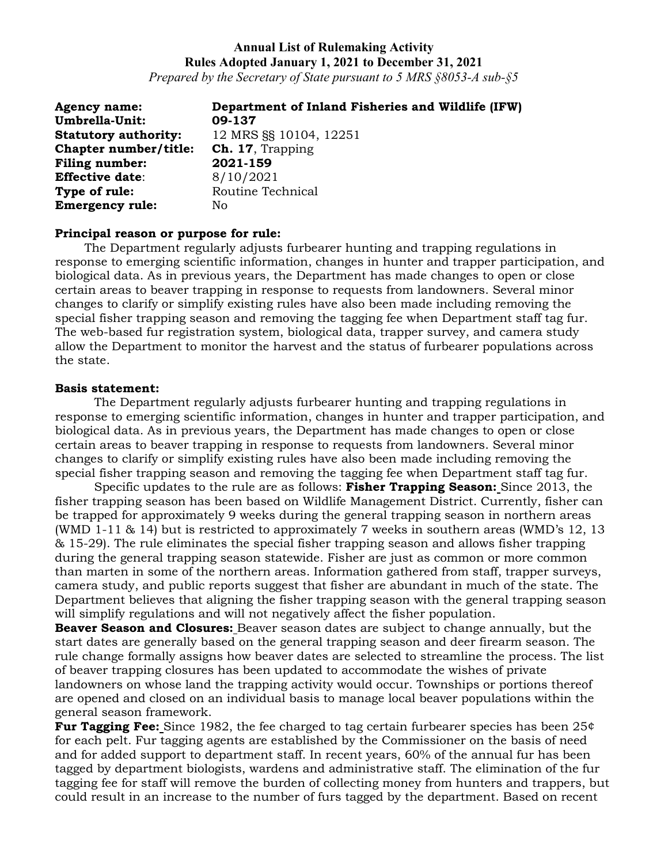*Prepared by the Secretary of State pursuant to 5 MRS §8053-A sub-§5*

| <b>Agency name:</b>         | Department of Inland Fisheries and Wildlife (IFW) |
|-----------------------------|---------------------------------------------------|
| Umbrella-Unit:              | 09-137                                            |
| <b>Statutory authority:</b> | 12 MRS SS 10104, 12251                            |
| Chapter number/title:       | <b>Ch. 17, Trapping</b>                           |
| <b>Filing number:</b>       | 2021-159                                          |
| <b>Effective date:</b>      | 8/10/2021                                         |
| Type of rule:               | Routine Technical                                 |
| <b>Emergency rule:</b>      | No                                                |

#### **Principal reason or purpose for rule:**

The Department regularly adjusts furbearer hunting and trapping regulations in response to emerging scientific information, changes in hunter and trapper participation, and biological data. As in previous years, the Department has made changes to open or close certain areas to beaver trapping in response to requests from landowners. Several minor changes to clarify or simplify existing rules have also been made including removing the special fisher trapping season and removing the tagging fee when Department staff tag fur. The web-based fur registration system, biological data, trapper survey, and camera study allow the Department to monitor the harvest and the status of furbearer populations across the state.

#### **Basis statement:**

The Department regularly adjusts furbearer hunting and trapping regulations in response to emerging scientific information, changes in hunter and trapper participation, and biological data. As in previous years, the Department has made changes to open or close certain areas to beaver trapping in response to requests from landowners. Several minor changes to clarify or simplify existing rules have also been made including removing the special fisher trapping season and removing the tagging fee when Department staff tag fur.

Specific updates to the rule are as follows: **Fisher Trapping Season:** Since 2013, the fisher trapping season has been based on Wildlife Management District. Currently, fisher can be trapped for approximately 9 weeks during the general trapping season in northern areas (WMD 1-11 & 14) but is restricted to approximately 7 weeks in southern areas (WMD's 12, 13 & 15-29). The rule eliminates the special fisher trapping season and allows fisher trapping during the general trapping season statewide. Fisher are just as common or more common than marten in some of the northern areas. Information gathered from staff, trapper surveys, camera study, and public reports suggest that fisher are abundant in much of the state. The Department believes that aligning the fisher trapping season with the general trapping season will simplify regulations and will not negatively affect the fisher population.

**Beaver Season and Closures:** Beaver season dates are subject to change annually, but the start dates are generally based on the general trapping season and deer firearm season. The rule change formally assigns how beaver dates are selected to streamline the process. The list of beaver trapping closures has been updated to accommodate the wishes of private landowners on whose land the trapping activity would occur. Townships or portions thereof are opened and closed on an individual basis to manage local beaver populations within the general season framework.

**Fur Tagging Fee:** Since 1982, the fee charged to tag certain furbearer species has been 25¢ for each pelt. Fur tagging agents are established by the Commissioner on the basis of need and for added support to department staff. In recent years, 60% of the annual fur has been tagged by department biologists, wardens and administrative staff. The elimination of the fur tagging fee for staff will remove the burden of collecting money from hunters and trappers, but could result in an increase to the number of furs tagged by the department. Based on recent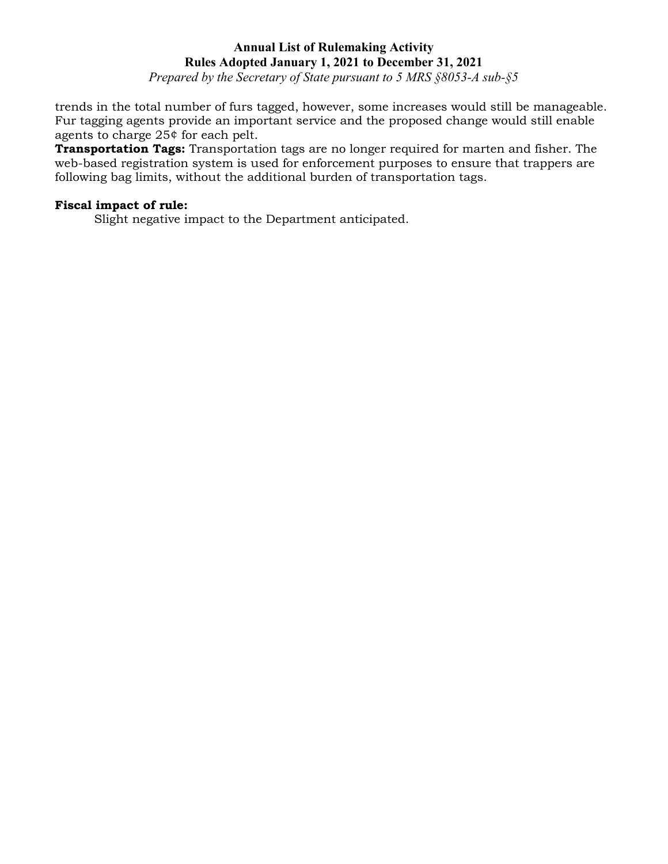*Prepared by the Secretary of State pursuant to 5 MRS §8053-A sub-§5*

trends in the total number of furs tagged, however, some increases would still be manageable. Fur tagging agents provide an important service and the proposed change would still enable agents to charge 25¢ for each pelt.

**Transportation Tags:** Transportation tags are no longer required for marten and fisher. The web-based registration system is used for enforcement purposes to ensure that trappers are following bag limits, without the additional burden of transportation tags.

# **Fiscal impact of rule:**

Slight negative impact to the Department anticipated.